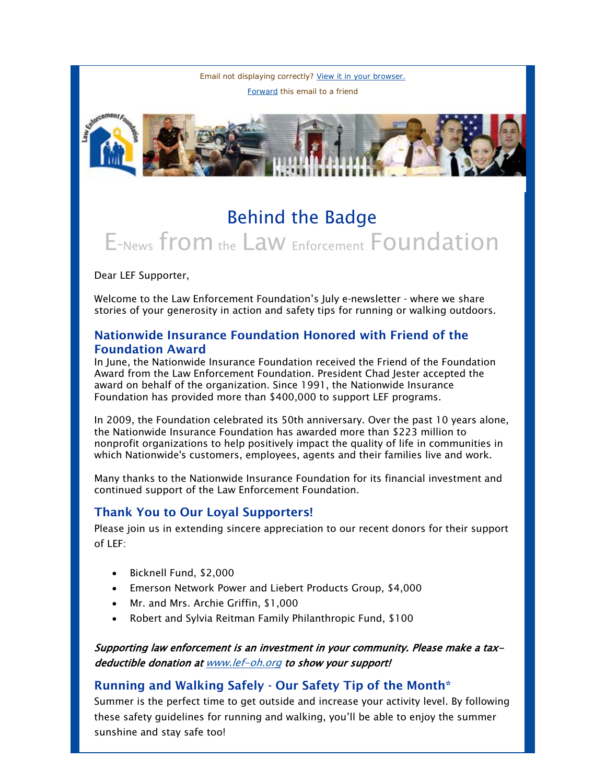Email not displaying correctly? [View it in your browser.](http://us1.campaign-archive.com/?u=cae15d65024df1c29f350ea33&id=44dacbccde&e=fc37550647) [Forward](http://us1.forward-to-friend.com/forward?u=cae15d65024df1c29f350ea33&id=44dacbccde&e=fc37550647) this email to a friend



## Behind the Badge E-News from the Law Enforcement Foundation

Dear LEF Supporter,

Welcome to the Law Enforcement Foundation's July e-newsletter - where we share stories of your generosity in action and safety tips for running or walking outdoors.

## Nationwide Insurance Foundation Honored with Friend of the Foundation Award

In June, the Nationwide Insurance Foundation received the Friend of the Foundation Award from the Law Enforcement Foundation. President Chad Jester accepted the award on behalf of the organization. Since 1991, the Nationwide Insurance Foundation has provided more than \$400,000 to support LEF programs.

In 2009, the Foundation celebrated its 50th anniversary. Over the past 10 years alone, the Nationwide Insurance Foundation has awarded more than \$223 million to nonprofit organizations to help positively impact the quality of life in communities in which Nationwide's customers, employees, agents and their families live and work.

Many thanks to the Nationwide Insurance Foundation for its financial investment and continued support of the Law Enforcement Foundation.

## Thank You to Our Loyal Supporters!

Please join us in extending sincere appreciation to our recent donors for their support  $off$  LEF:

- Bicknell Fund, \$2,000
- Emerson Network Power and Liebert Products Group, \$4,000
- Mr. and Mrs. Archie Griffin, \$1,000
- Robert and Sylvia Reitman Family Philanthropic Fund, \$100

Supporting law enforcement is an investment in your community. Please make a taxdeductible donation at [www.lef-oh.org](http://www.lef-oh.org/) to show your support!

## Running and Walking Safely - Our Safety Tip of the Month\*

Summer is the perfect time to get outside and increase your activity level. By following these safety guidelines for running and walking, you'll be able to enjoy the summer sunshine and stay safe too!